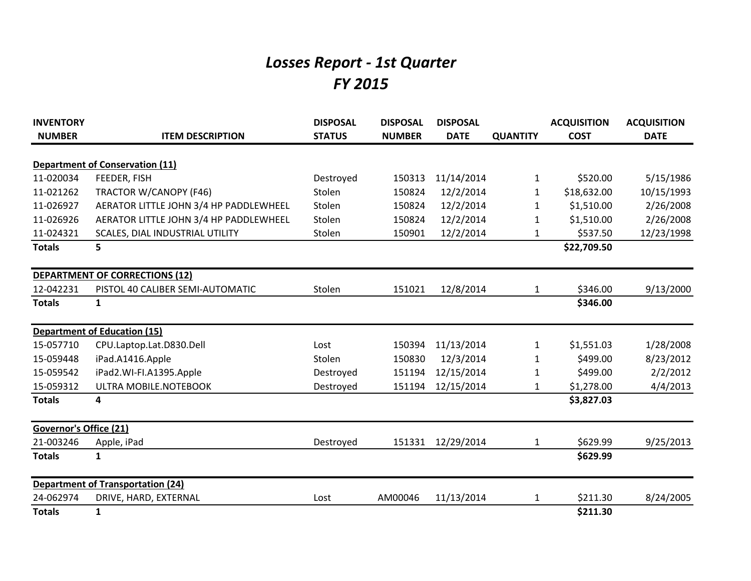## *Losses Report - 1st Quarter FY 2015*

| <b>INVENTORY</b>              |                                          | <b>DISPOSAL</b> | <b>DISPOSAL</b> | <b>DISPOSAL</b> |                 | <b>ACQUISITION</b> | <b>ACQUISITION</b> |
|-------------------------------|------------------------------------------|-----------------|-----------------|-----------------|-----------------|--------------------|--------------------|
| <b>NUMBER</b>                 | <b>ITEM DESCRIPTION</b>                  | <b>STATUS</b>   | <b>NUMBER</b>   | <b>DATE</b>     | <b>QUANTITY</b> | <b>COST</b>        | <b>DATE</b>        |
|                               | <b>Department of Conservation (11)</b>   |                 |                 |                 |                 |                    |                    |
| 11-020034                     | FEEDER, FISH                             | Destroyed       | 150313          | 11/14/2014      | 1               | \$520.00           | 5/15/1986          |
| 11-021262                     | TRACTOR W/CANOPY (F46)                   | Stolen          | 150824          | 12/2/2014       | 1               | \$18,632.00        | 10/15/1993         |
| 11-026927                     | AERATOR LITTLE JOHN 3/4 HP PADDLEWHEEL   | Stolen          | 150824          | 12/2/2014       | 1               | \$1,510.00         | 2/26/2008          |
| 11-026926                     | AERATOR LITTLE JOHN 3/4 HP PADDLEWHEEL   | Stolen          | 150824          | 12/2/2014       | 1               | \$1,510.00         | 2/26/2008          |
| 11-024321                     | SCALES, DIAL INDUSTRIAL UTILITY          | Stolen          | 150901          | 12/2/2014       | 1               | \$537.50           | 12/23/1998         |
| <b>Totals</b>                 | 5                                        |                 |                 |                 |                 | \$22,709.50        |                    |
|                               | <b>DEPARTMENT OF CORRECTIONS (12)</b>    |                 |                 |                 |                 |                    |                    |
| 12-042231                     | PISTOL 40 CALIBER SEMI-AUTOMATIC         | Stolen          | 151021          | 12/8/2014       | 1               | \$346.00           | 9/13/2000          |
| <b>Totals</b>                 | $\mathbf{1}$                             |                 |                 |                 |                 | \$346.00           |                    |
|                               | <b>Department of Education (15)</b>      |                 |                 |                 |                 |                    |                    |
| 15-057710                     | CPU.Laptop.Lat.D830.Dell                 | Lost            | 150394          | 11/13/2014      | 1               | \$1,551.03         | 1/28/2008          |
| 15-059448                     | iPad.A1416.Apple                         | Stolen          | 150830          | 12/3/2014       | 1               | \$499.00           | 8/23/2012          |
| 15-059542                     | iPad2.WI-FI.A1395.Apple                  | Destroyed       | 151194          | 12/15/2014      | 1               | \$499.00           | 2/2/2012           |
| 15-059312                     | ULTRA MOBILE.NOTEBOOK                    | Destroyed       | 151194          | 12/15/2014      | 1               | \$1,278.00         | 4/4/2013           |
| <b>Totals</b>                 | 4                                        |                 |                 |                 |                 | \$3,827.03         |                    |
| <b>Governor's Office (21)</b> |                                          |                 |                 |                 |                 |                    |                    |
| 21-003246                     | Apple, iPad                              | Destroyed       | 151331          | 12/29/2014      | 1               | \$629.99           | 9/25/2013          |
| <b>Totals</b>                 | $\mathbf{1}$                             |                 |                 |                 |                 | \$629.99           |                    |
|                               | <b>Department of Transportation (24)</b> |                 |                 |                 |                 |                    |                    |
| 24-062974                     | DRIVE, HARD, EXTERNAL                    | Lost            | AM00046         | 11/13/2014      | 1               | \$211.30           | 8/24/2005          |
| <b>Totals</b>                 | $\mathbf{1}$                             |                 |                 |                 |                 | \$211.30           |                    |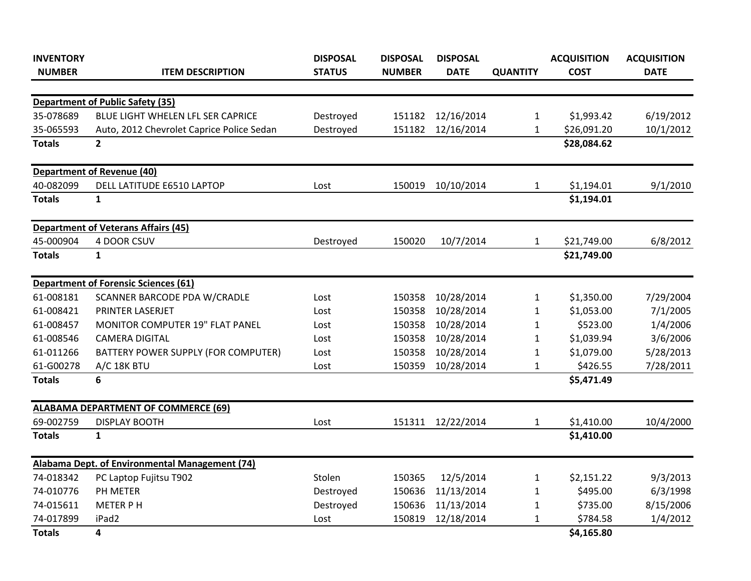| <b>INVENTORY</b> |                                                | <b>DISPOSAL</b> | <b>DISPOSAL</b> | <b>DISPOSAL</b> |                 | <b>ACQUISITION</b> | <b>ACQUISITION</b> |
|------------------|------------------------------------------------|-----------------|-----------------|-----------------|-----------------|--------------------|--------------------|
| <b>NUMBER</b>    | <b>ITEM DESCRIPTION</b>                        | <b>STATUS</b>   | <b>NUMBER</b>   | <b>DATE</b>     | <b>QUANTITY</b> | <b>COST</b>        | <b>DATE</b>        |
|                  |                                                |                 |                 |                 |                 |                    |                    |
|                  | <b>Department of Public Safety (35)</b>        |                 |                 |                 |                 |                    |                    |
| 35-078689        | BLUE LIGHT WHELEN LFL SER CAPRICE              | Destroyed       | 151182          | 12/16/2014      | $\mathbf{1}$    | \$1,993.42         | 6/19/2012          |
| 35-065593        | Auto, 2012 Chevrolet Caprice Police Sedan      | Destroyed       | 151182          | 12/16/2014      | 1               | \$26,091.20        | 10/1/2012          |
| <b>Totals</b>    | $\overline{2}$                                 |                 |                 |                 |                 | \$28,084.62        |                    |
|                  | <b>Department of Revenue (40)</b>              |                 |                 |                 |                 |                    |                    |
| 40-082099        | DELL LATITUDE E6510 LAPTOP                     | Lost            | 150019          | 10/10/2014      | 1               | \$1,194.01         | 9/1/2010           |
| <b>Totals</b>    | $\mathbf{1}$                                   |                 |                 |                 |                 | \$1,194.01         |                    |
|                  | <b>Department of Veterans Affairs (45)</b>     |                 |                 |                 |                 |                    |                    |
| 45-000904        | 4 DOOR CSUV                                    | Destroyed       | 150020          | 10/7/2014       | 1               | \$21,749.00        | 6/8/2012           |
| <b>Totals</b>    | $\mathbf{1}$                                   |                 |                 |                 |                 | \$21,749.00        |                    |
|                  | <b>Department of Forensic Sciences (61)</b>    |                 |                 |                 |                 |                    |                    |
| 61-008181        | SCANNER BARCODE PDA W/CRADLE                   | Lost            | 150358          | 10/28/2014      | $\mathbf{1}$    | \$1,350.00         | 7/29/2004          |
| 61-008421        | PRINTER LASERJET                               | Lost            | 150358          | 10/28/2014      | $\mathbf{1}$    | \$1,053.00         | 7/1/2005           |
| 61-008457        | MONITOR COMPUTER 19" FLAT PANEL                | Lost            | 150358          | 10/28/2014      | $\mathbf{1}$    | \$523.00           | 1/4/2006           |
| 61-008546        | <b>CAMERA DIGITAL</b>                          | Lost            | 150358          | 10/28/2014      | 1               | \$1,039.94         | 3/6/2006           |
| 61-011266        | BATTERY POWER SUPPLY (FOR COMPUTER)            | Lost            | 150358          | 10/28/2014      | 1               | \$1,079.00         | 5/28/2013          |
| 61-G00278        | A/C 18K BTU                                    | Lost            | 150359          | 10/28/2014      | 1               | \$426.55           | 7/28/2011          |
| <b>Totals</b>    | 6                                              |                 |                 |                 |                 | \$5,471.49         |                    |
|                  | <b>ALABAMA DEPARTMENT OF COMMERCE (69)</b>     |                 |                 |                 |                 |                    |                    |
| 69-002759        | <b>DISPLAY BOOTH</b>                           | Lost            | 151311          | 12/22/2014      | $\mathbf{1}$    | \$1,410.00         | 10/4/2000          |
| <b>Totals</b>    | $\mathbf{1}$                                   |                 |                 |                 |                 | \$1,410.00         |                    |
|                  | Alabama Dept. of Environmental Management (74) |                 |                 |                 |                 |                    |                    |
| 74-018342        | PC Laptop Fujitsu T902                         | Stolen          | 150365          | 12/5/2014       | 1               | \$2,151.22         | 9/3/2013           |
| 74-010776        | PH METER                                       | Destroyed       | 150636          | 11/13/2014      | 1               | \$495.00           | 6/3/1998           |
| 74-015611        | <b>METER PH</b>                                | Destroyed       | 150636          | 11/13/2014      | 1               | \$735.00           | 8/15/2006          |
| 74-017899        | iPad2                                          | Lost            | 150819          | 12/18/2014      | $\mathbf{1}$    | \$784.58           | 1/4/2012           |
| <b>Totals</b>    | 4                                              |                 |                 |                 |                 | \$4,165.80         |                    |